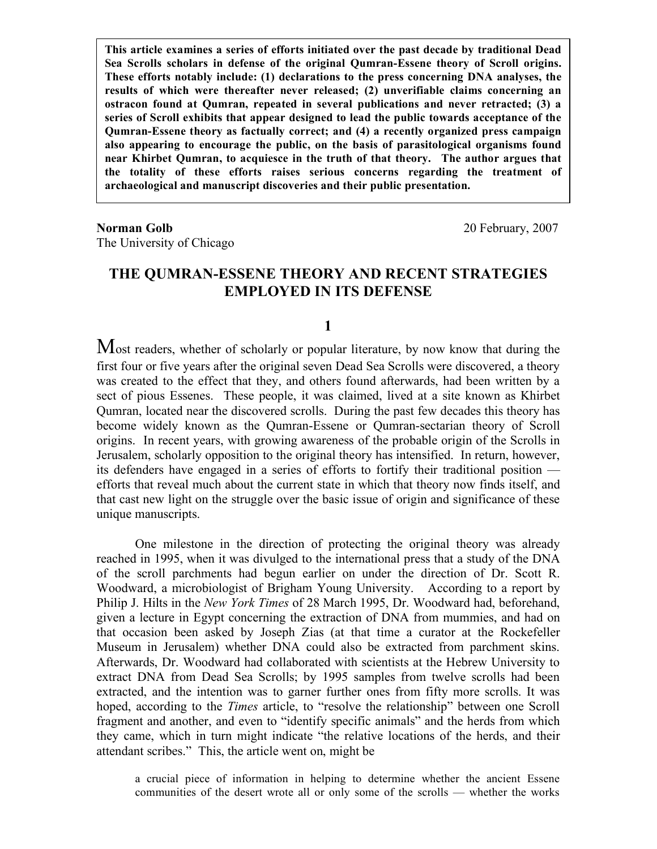**This article examines a series of efforts initiated over the past decade by traditional Dead Sea Scrolls scholars in defense of the original Qumran-Essene theory of Scroll origins. These efforts notably include: (1) declarations to the press concerning DNA analyses, the results of which were thereafter never released; (2) unverifiable claims concerning an ostracon found at Qumran, repeated in several publications and never retracted; (3) a series of Scroll exhibits that appear designed to lead the public towards acceptance of the Qumran-Essene theory as factually correct; and (4) a recently organized press campaign also appearing to encourage the public, on the basis of parasitological organisms found near Khirbet Qumran, to acquiesce in the truth of that theory. The author argues that the totality of these efforts raises serious concerns regarding the treatment of archaeological and manuscript discoveries and their public presentation.**

**Norman Golb** 20 February, 2007

## The University of Chicago

## **THE QUMRAN-ESSENE THEORY AND RECENT STRATEGIES EMPLOYED IN ITS DEFENSE**

**1**

Most readers, whether of scholarly or popular literature, by now know that during the first four or five years after the original seven Dead Sea Scrolls were discovered, a theory was created to the effect that they, and others found afterwards, had been written by a sect of pious Essenes. These people, it was claimed, lived at a site known as Khirbet Qumran, located near the discovered scrolls. During the past few decades this theory has become widely known as the Qumran-Essene or Qumran-sectarian theory of Scroll origins. In recent years, with growing awareness of the probable origin of the Scrolls in Jerusalem, scholarly opposition to the original theory has intensified. In return, however, its defenders have engaged in a series of efforts to fortify their traditional position efforts that reveal much about the current state in which that theory now finds itself, and that cast new light on the struggle over the basic issue of origin and significance of these unique manuscripts.

One milestone in the direction of protecting the original theory was already reached in 1995, when it was divulged to the international press that a study of the DNA of the scroll parchments had begun earlier on under the direction of Dr. Scott R. Woodward, a microbiologist of Brigham Young University. According to a report by Philip J. Hilts in the *New York Times* of 28 March 1995, Dr. Woodward had, beforehand, given a lecture in Egypt concerning the extraction of DNA from mummies, and had on that occasion been asked by Joseph Zias (at that time a curator at the Rockefeller Museum in Jerusalem) whether DNA could also be extracted from parchment skins. Afterwards, Dr. Woodward had collaborated with scientists at the Hebrew University to extract DNA from Dead Sea Scrolls; by 1995 samples from twelve scrolls had been extracted, and the intention was to garner further ones from fifty more scrolls. It was hoped, according to the *Times* article, to "resolve the relationship" between one Scroll fragment and another, and even to "identify specific animals" and the herds from which they came, which in turn might indicate "the relative locations of the herds, and their attendant scribes." This, the article went on, might be

a crucial piece of information in helping to determine whether the ancient Essene communities of the desert wrote all or only some of the scrolls — whether the works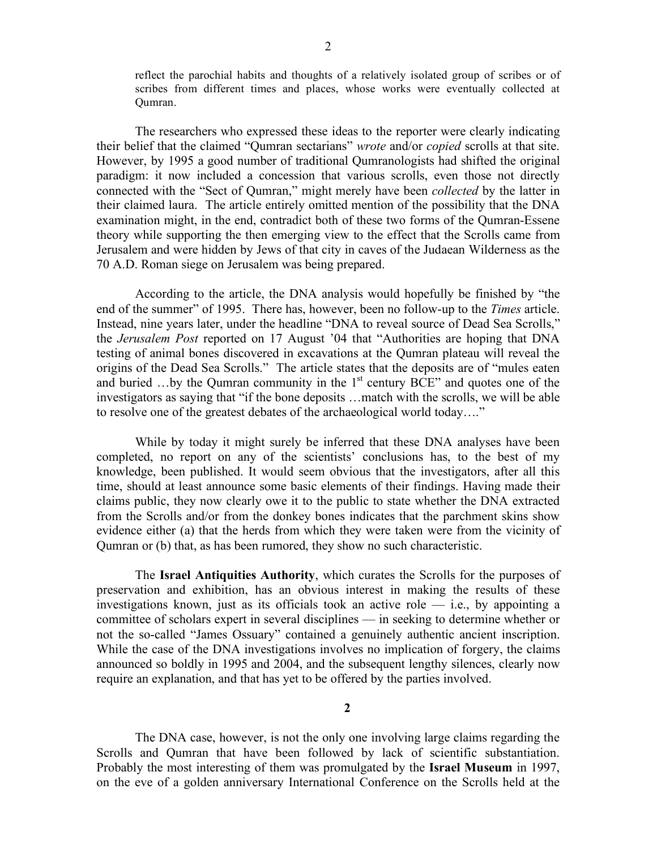reflect the parochial habits and thoughts of a relatively isolated group of scribes or of scribes from different times and places, whose works were eventually collected at Qumran.

The researchers who expressed these ideas to the reporter were clearly indicating their belief that the claimed "Qumran sectarians" *wrote* and/or *copied* scrolls at that site. However, by 1995 a good number of traditional Qumranologists had shifted the original paradigm: it now included a concession that various scrolls, even those not directly connected with the "Sect of Qumran," might merely have been *collected* by the latter in their claimed laura. The article entirely omitted mention of the possibility that the DNA examination might, in the end, contradict both of these two forms of the Qumran-Essene theory while supporting the then emerging view to the effect that the Scrolls came from Jerusalem and were hidden by Jews of that city in caves of the Judaean Wilderness as the 70 A.D. Roman siege on Jerusalem was being prepared.

According to the article, the DNA analysis would hopefully be finished by "the end of the summer" of 1995. There has, however, been no follow-up to the *Times* article. Instead, nine years later, under the headline "DNA to reveal source of Dead Sea Scrolls," the *Jerusalem Post* reported on 17 August '04 that "Authorities are hoping that DNA testing of animal bones discovered in excavations at the Qumran plateau will reveal the origins of the Dead Sea Scrolls." The article states that the deposits are of "mules eaten and buried …by the Qumran community in the  $1<sup>st</sup>$  century BCE" and quotes one of the investigators as saying that "if the bone deposits …match with the scrolls, we will be able to resolve one of the greatest debates of the archaeological world today…."

While by today it might surely be inferred that these DNA analyses have been completed, no report on any of the scientists' conclusions has, to the best of my knowledge, been published. It would seem obvious that the investigators, after all this time, should at least announce some basic elements of their findings. Having made their claims public, they now clearly owe it to the public to state whether the DNA extracted from the Scrolls and/or from the donkey bones indicates that the parchment skins show evidence either (a) that the herds from which they were taken were from the vicinity of Qumran or (b) that, as has been rumored, they show no such characteristic.

The **Israel Antiquities Authority**, which curates the Scrolls for the purposes of preservation and exhibition, has an obvious interest in making the results of these investigations known, just as its officials took an active role  $-$  i.e., by appointing a committee of scholars expert in several disciplines — in seeking to determine whether or not the so-called "James Ossuary" contained a genuinely authentic ancient inscription. While the case of the DNA investigations involves no implication of forgery, the claims announced so boldly in 1995 and 2004, and the subsequent lengthy silences, clearly now require an explanation, and that has yet to be offered by the parties involved.

**2**

The DNA case, however, is not the only one involving large claims regarding the Scrolls and Qumran that have been followed by lack of scientific substantiation. Probably the most interesting of them was promulgated by the **Israel Museum** in 1997, on the eve of a golden anniversary International Conference on the Scrolls held at the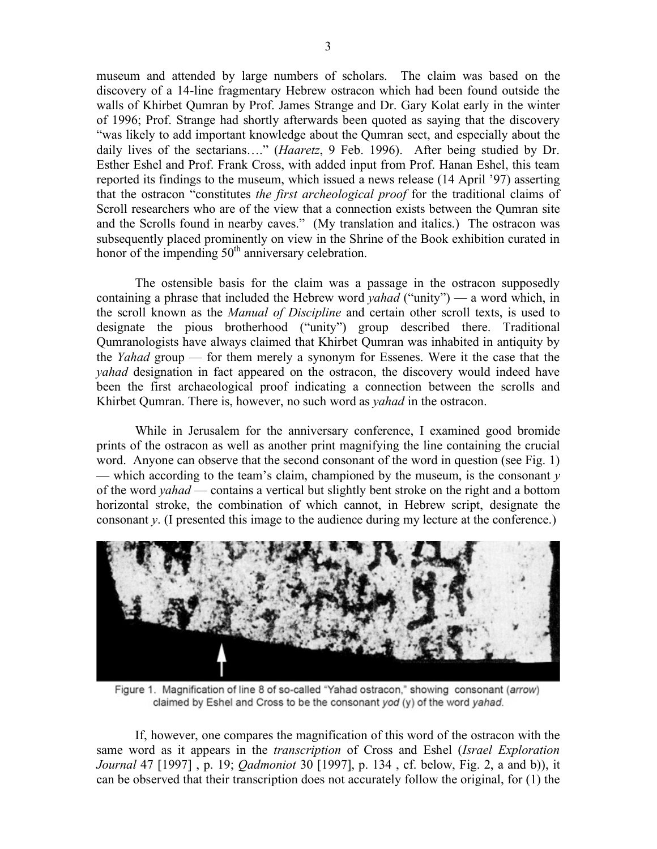museum and attended by large numbers of scholars. The claim was based on the discovery of a 14-line fragmentary Hebrew ostracon which had been found outside the walls of Khirbet Qumran by Prof. James Strange and Dr. Gary Kolat early in the winter of 1996; Prof. Strange had shortly afterwards been quoted as saying that the discovery "was likely to add important knowledge about the Qumran sect, and especially about the daily lives of the sectarians…." (*Haaretz*, 9 Feb. 1996). After being studied by Dr. Esther Eshel and Prof. Frank Cross, with added input from Prof. Hanan Eshel, this team reported its findings to the museum, which issued a news release (14 April '97) asserting that the ostracon "constitutes *the first archeological proof* for the traditional claims of Scroll researchers who are of the view that a connection exists between the Qumran site and the Scrolls found in nearby caves." (My translation and italics.) The ostracon was subsequently placed prominently on view in the Shrine of the Book exhibition curated in honor of the impending  $50<sup>th</sup>$  anniversary celebration.

The ostensible basis for the claim was a passage in the ostracon supposedly containing a phrase that included the Hebrew word *yahad* ("unity") — a word which, in the scroll known as the *Manual of Discipline* and certain other scroll texts, is used to designate the pious brotherhood ("unity") group described there. Traditional Qumranologists have always claimed that Khirbet Qumran was inhabited in antiquity by the *Yahad* group — for them merely a synonym for Essenes. Were it the case that the *yahad* designation in fact appeared on the ostracon, the discovery would indeed have been the first archaeological proof indicating a connection between the scrolls and Khirbet Qumran. There is, however, no such word as *yahad* in the ostracon.

While in Jerusalem for the anniversary conference, I examined good bromide prints of the ostracon as well as another print magnifying the line containing the crucial word. Anyone can observe that the second consonant of the word in question (see Fig. 1) — which according to the team's claim, championed by the museum, is the consonant *y* of the word *yahad* — contains a vertical but slightly bent stroke on the right and a bottom horizontal stroke, the combination of which cannot, in Hebrew script, designate the consonant *y*. (I presented this image to the audience during my lecture at the conference.)



Figure 1. Magnification of line 8 of so-called "Yahad ostracon," showing consonant (arrow) claimed by Eshel and Cross to be the consonant yod (y) of the word yahad.

If, however, one compares the magnification of this word of the ostracon with the same word as it appears in the *transcription* of Cross and Eshel (*Israel Exploration Journal* 47 [1997] , p. 19; *Qadmoniot* 30 [1997], p. 134 , cf. below, Fig. 2, a and b)), it can be observed that their transcription does not accurately follow the original, for (1) the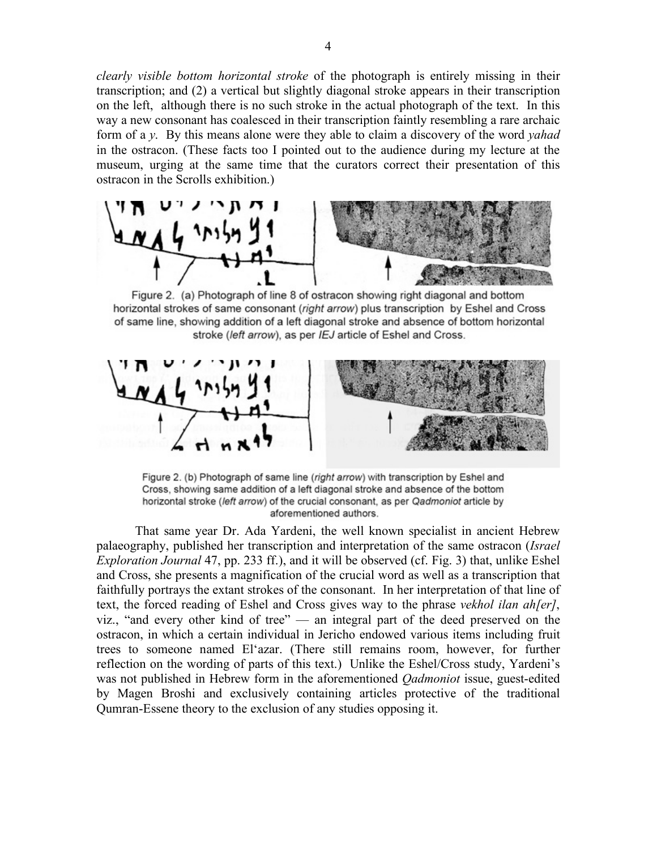*clearly visible bottom horizontal stroke* of the photograph is entirely missing in their transcription; and (2) a vertical but slightly diagonal stroke appears in their transcription on the left, although there is no such stroke in the actual photograph of the text. In this way a new consonant has coalesced in their transcription faintly resembling a rare archaic form of a *y*. By this means alone were they able to claim a discovery of the word *yahad* in the ostracon. (These facts too I pointed out to the audience during my lecture at the museum, urging at the same time that the curators correct their presentation of this ostracon in the Scrolls exhibition.)



Figure 2. (a) Photograph of line 8 of ostracon showing right diagonal and bottom horizontal strokes of same consonant (right arrow) plus transcription by Eshel and Cross of same line, showing addition of a left diagonal stroke and absence of bottom horizontal stroke (left arrow), as per IEJ article of Eshel and Cross.



Figure 2. (b) Photograph of same line (right arrow) with transcription by Eshel and Cross, showing same addition of a left diagonal stroke and absence of the bottom horizontal stroke (left arrow) of the crucial consonant, as per Qadmoniot article by aforementioned authors.

That same year Dr. Ada Yardeni, the well known specialist in ancient Hebrew palaeography, published her transcription and interpretation of the same ostracon (*Israel Exploration Journal* 47, pp. 233 ff.), and it will be observed (cf. Fig. 3) that, unlike Eshel and Cross, she presents a magnification of the crucial word as well as a transcription that faithfully portrays the extant strokes of the consonant. In her interpretation of that line of text, the forced reading of Eshel and Cross gives way to the phrase *vekhol ilan ah[er]*, viz., "and every other kind of tree" — an integral part of the deed preserved on the ostracon, in which a certain individual in Jericho endowed various items including fruit trees to someone named El'azar. (There still remains room, however, for further reflection on the wording of parts of this text.) Unlike the Eshel/Cross study, Yardeni's was not published in Hebrew form in the aforementioned *Qadmoniot* issue, guest-edited by Magen Broshi and exclusively containing articles protective of the traditional Qumran-Essene theory to the exclusion of any studies opposing it.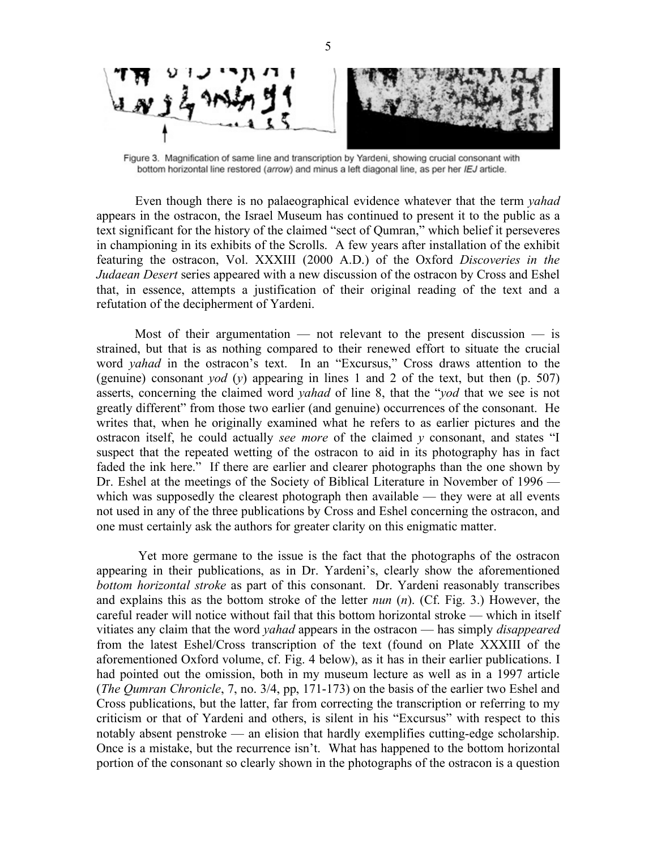

Figure 3. Magnification of same line and transcription by Yardeni, showing crucial consonant with bottom horizontal line restored (arrow) and minus a left diagonal line, as per her IEJ article.

Even though there is no palaeographical evidence whatever that the term *yahad*  appears in the ostracon, the Israel Museum has continued to present it to the public as a text significant for the history of the claimed "sect of Qumran," which belief it perseveres in championing in its exhibits of the Scrolls. A few years after installation of the exhibit featuring the ostracon, Vol. XXXIII (2000 A.D.) of the Oxford *Discoveries in the Judaean Desert* series appeared with a new discussion of the ostracon by Cross and Eshel that, in essence, attempts a justification of their original reading of the text and a refutation of the decipherment of Yardeni.

Most of their argumentation — not relevant to the present discussion — is strained, but that is as nothing compared to their renewed effort to situate the crucial word *yahad* in the ostracon's text. In an "Excursus," Cross draws attention to the (genuine) consonant *yod* (*y*) appearing in lines 1 and 2 of the text, but then (p. 507) asserts, concerning the claimed word *yahad* of line 8, that the "*yod* that we see is not greatly different" from those two earlier (and genuine) occurrences of the consonant. He writes that, when he originally examined what he refers to as earlier pictures and the ostracon itself, he could actually *see more* of the claimed *y* consonant, and states "I suspect that the repeated wetting of the ostracon to aid in its photography has in fact faded the ink here." If there are earlier and clearer photographs than the one shown by Dr. Eshel at the meetings of the Society of Biblical Literature in November of 1996 which was supposedly the clearest photograph then available — they were at all events not used in any of the three publications by Cross and Eshel concerning the ostracon, and one must certainly ask the authors for greater clarity on this enigmatic matter.

Yet more germane to the issue is the fact that the photographs of the ostracon appearing in their publications, as in Dr. Yardeni's, clearly show the aforementioned *bottom horizontal stroke* as part of this consonant. Dr. Yardeni reasonably transcribes and explains this as the bottom stroke of the letter *nun* (*n*). (Cf. Fig. 3.) However, the careful reader will notice without fail that this bottom horizontal stroke — which in itself vitiates any claim that the word *yahad* appears in the ostracon — has simply *disappeared* from the latest Eshel/Cross transcription of the text (found on Plate XXXIII of the aforementioned Oxford volume, cf. Fig. 4 below), as it has in their earlier publications. I had pointed out the omission, both in my museum lecture as well as in a 1997 article (*The Qumran Chronicle*, 7, no. 3/4, pp, 171-173) on the basis of the earlier two Eshel and Cross publications, but the latter, far from correcting the transcription or referring to my criticism or that of Yardeni and others, is silent in his "Excursus" with respect to this notably absent penstroke — an elision that hardly exemplifies cutting-edge scholarship. Once is a mistake, but the recurrence isn't. What has happened to the bottom horizontal portion of the consonant so clearly shown in the photographs of the ostracon is a question

5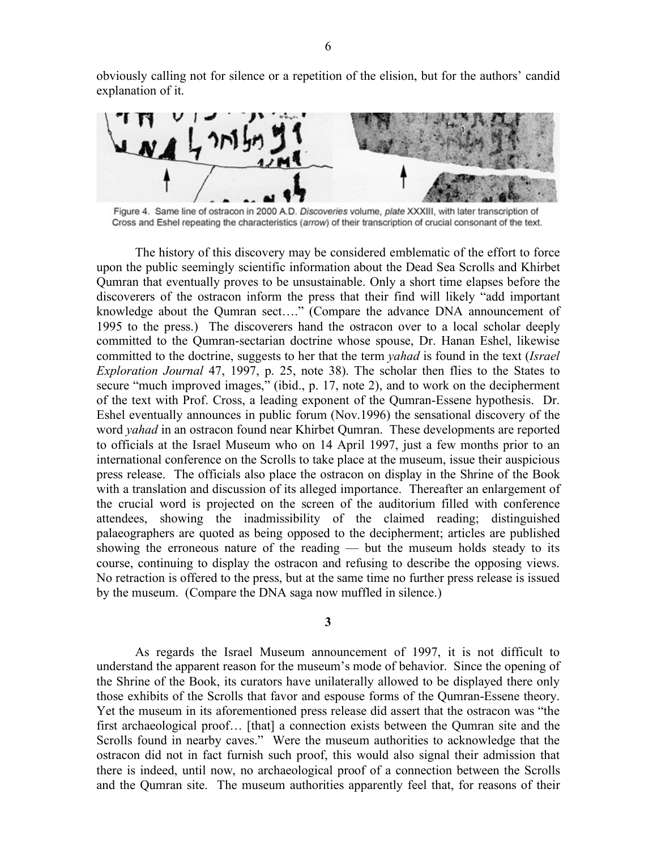obviously calling not for silence or a repetition of the elision, but for the authors' candid explanation of it.



Figure 4. Same line of ostracon in 2000 A.D. Discoveries volume, plate XXXIII, with later transcription of Cross and Eshel repeating the characteristics (arrow) of their transcription of crucial consonant of the text.

The history of this discovery may be considered emblematic of the effort to force upon the public seemingly scientific information about the Dead Sea Scrolls and Khirbet Qumran that eventually proves to be unsustainable. Only a short time elapses before the discoverers of the ostracon inform the press that their find will likely "add important knowledge about the Qumran sect…." (Compare the advance DNA announcement of 1995 to the press.) The discoverers hand the ostracon over to a local scholar deeply committed to the Qumran-sectarian doctrine whose spouse, Dr. Hanan Eshel, likewise committed to the doctrine, suggests to her that the term *yahad* is found in the text (*Israel Exploration Journal* 47, 1997, p. 25, note 38). The scholar then flies to the States to secure "much improved images," (ibid., p. 17, note 2), and to work on the decipherment of the text with Prof. Cross, a leading exponent of the Qumran-Essene hypothesis. Dr. Eshel eventually announces in public forum (Nov.1996) the sensational discovery of the word *yahad* in an ostracon found near Khirbet Qumran. These developments are reported to officials at the Israel Museum who on 14 April 1997, just a few months prior to an international conference on the Scrolls to take place at the museum, issue their auspicious press release. The officials also place the ostracon on display in the Shrine of the Book with a translation and discussion of its alleged importance. Thereafter an enlargement of the crucial word is projected on the screen of the auditorium filled with conference attendees, showing the inadmissibility of the claimed reading; distinguished palaeographers are quoted as being opposed to the decipherment; articles are published showing the erroneous nature of the reading — but the museum holds steady to its course, continuing to display the ostracon and refusing to describe the opposing views. No retraction is offered to the press, but at the same time no further press release is issued by the museum. (Compare the DNA saga now muffled in silence.)

As regards the Israel Museum announcement of 1997, it is not difficult to understand the apparent reason for the museum's mode of behavior. Since the opening of the Shrine of the Book, its curators have unilaterally allowed to be displayed there only those exhibits of the Scrolls that favor and espouse forms of the Qumran-Essene theory. Yet the museum in its aforementioned press release did assert that the ostracon was "the first archaeological proof… [that] a connection exists between the Qumran site and the Scrolls found in nearby caves." Were the museum authorities to acknowledge that the ostracon did not in fact furnish such proof, this would also signal their admission that there is indeed, until now, no archaeological proof of a connection between the Scrolls and the Qumran site. The museum authorities apparently feel that, for reasons of their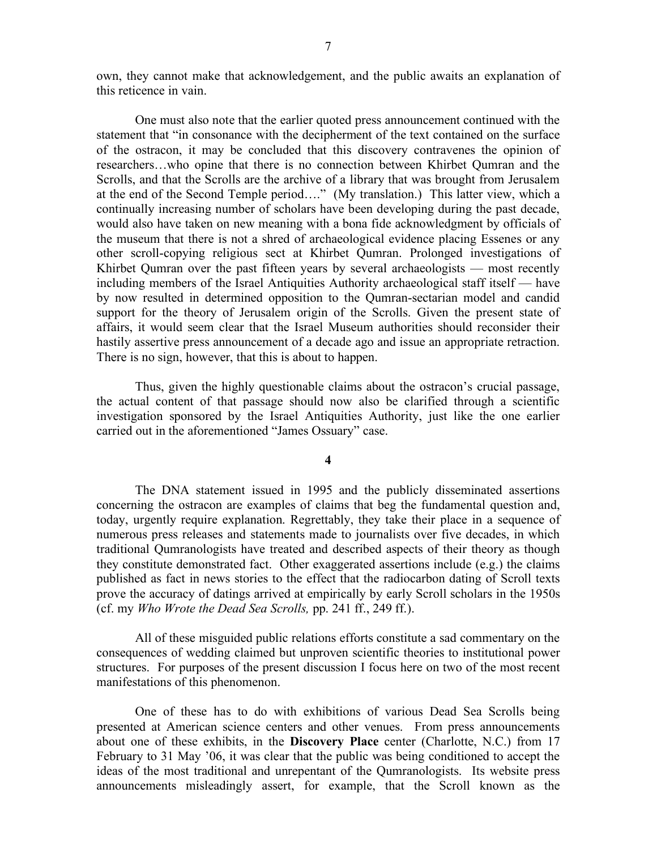own, they cannot make that acknowledgement, and the public awaits an explanation of this reticence in vain.

One must also note that the earlier quoted press announcement continued with the statement that "in consonance with the decipherment of the text contained on the surface of the ostracon, it may be concluded that this discovery contravenes the opinion of researchers…who opine that there is no connection between Khirbet Qumran and the Scrolls, and that the Scrolls are the archive of a library that was brought from Jerusalem at the end of the Second Temple period…." (My translation.) This latter view, which a continually increasing number of scholars have been developing during the past decade, would also have taken on new meaning with a bona fide acknowledgment by officials of the museum that there is not a shred of archaeological evidence placing Essenes or any other scroll-copying religious sect at Khirbet Qumran. Prolonged investigations of Khirbet Qumran over the past fifteen years by several archaeologists — most recently including members of the Israel Antiquities Authority archaeological staff itself — have by now resulted in determined opposition to the Qumran-sectarian model and candid support for the theory of Jerusalem origin of the Scrolls. Given the present state of affairs, it would seem clear that the Israel Museum authorities should reconsider their hastily assertive press announcement of a decade ago and issue an appropriate retraction. There is no sign, however, that this is about to happen.

Thus, given the highly questionable claims about the ostracon's crucial passage, the actual content of that passage should now also be clarified through a scientific investigation sponsored by the Israel Antiquities Authority, just like the one earlier carried out in the aforementioned "James Ossuary" case.

**4**

The DNA statement issued in 1995 and the publicly disseminated assertions concerning the ostracon are examples of claims that beg the fundamental question and, today, urgently require explanation. Regrettably, they take their place in a sequence of numerous press releases and statements made to journalists over five decades, in which traditional Qumranologists have treated and described aspects of their theory as though they constitute demonstrated fact. Other exaggerated assertions include (e.g.) the claims published as fact in news stories to the effect that the radiocarbon dating of Scroll texts prove the accuracy of datings arrived at empirically by early Scroll scholars in the 1950s (cf. my *Who Wrote the Dead Sea Scrolls,* pp. 241 ff., 249 ff.).

All of these misguided public relations efforts constitute a sad commentary on the consequences of wedding claimed but unproven scientific theories to institutional power structures. For purposes of the present discussion I focus here on two of the most recent manifestations of this phenomenon.

One of these has to do with exhibitions of various Dead Sea Scrolls being presented at American science centers and other venues. From press announcements about one of these exhibits, in the **Discovery Place** center (Charlotte, N.C.) from 17 February to 31 May '06, it was clear that the public was being conditioned to accept the ideas of the most traditional and unrepentant of the Qumranologists. Its website press announcements misleadingly assert, for example, that the Scroll known as the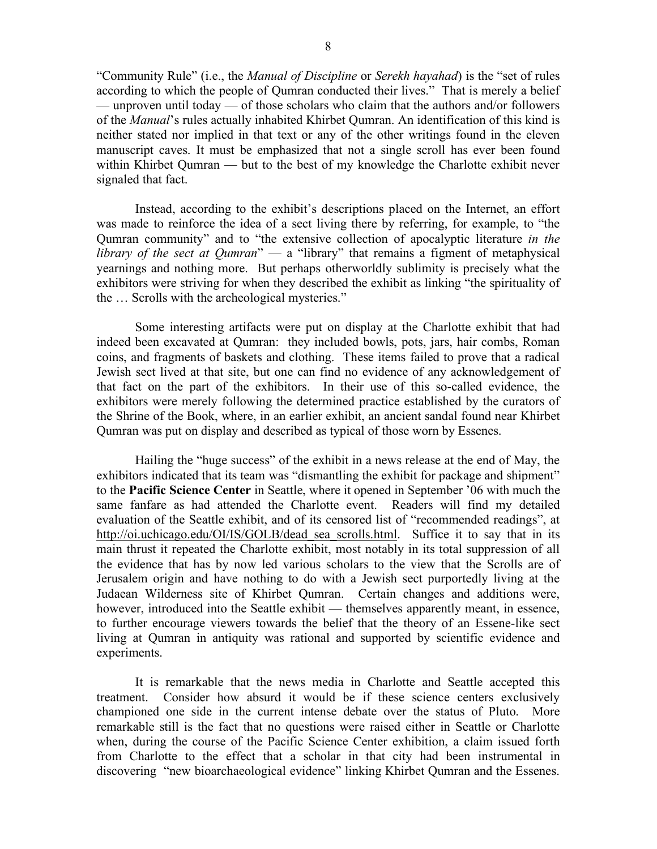"Community Rule" (i.e., the *Manual of Discipline* or *Serekh hayahad*) is the "set of rules according to which the people of Qumran conducted their lives." That is merely a belief — unproven until today — of those scholars who claim that the authors and/or followers of the *Manual*'s rules actually inhabited Khirbet Qumran. An identification of this kind is neither stated nor implied in that text or any of the other writings found in the eleven manuscript caves. It must be emphasized that not a single scroll has ever been found within Khirbet Qumran — but to the best of my knowledge the Charlotte exhibit never signaled that fact.

Instead, according to the exhibit's descriptions placed on the Internet, an effort was made to reinforce the idea of a sect living there by referring, for example, to "the Qumran community" and to "the extensive collection of apocalyptic literature *in the library of the sect at Qumran*" — a "library" that remains a figment of metaphysical yearnings and nothing more. But perhaps otherworldly sublimity is precisely what the exhibitors were striving for when they described the exhibit as linking "the spirituality of the … Scrolls with the archeological mysteries."

Some interesting artifacts were put on display at the Charlotte exhibit that had indeed been excavated at Qumran: they included bowls, pots, jars, hair combs, Roman coins, and fragments of baskets and clothing. These items failed to prove that a radical Jewish sect lived at that site, but one can find no evidence of any acknowledgement of that fact on the part of the exhibitors. In their use of this so-called evidence, the exhibitors were merely following the determined practice established by the curators of the Shrine of the Book, where, in an earlier exhibit, an ancient sandal found near Khirbet Qumran was put on display and described as typical of those worn by Essenes.

Hailing the "huge success" of the exhibit in a news release at the end of May, the exhibitors indicated that its team was "dismantling the exhibit for package and shipment" to the **Pacific Science Center** in Seattle, where it opened in September '06 with much the same fanfare as had attended the Charlotte event. Readers will find my detailed evaluation of the Seattle exhibit, and of its censored list of "recommended readings", at http://oi.uchicago.edu/OI/IS/GOLB/dead sea scrolls.html. Suffice it to say that in its main thrust it repeated the Charlotte exhibit, most notably in its total suppression of all the evidence that has by now led various scholars to the view that the Scrolls are of Jerusalem origin and have nothing to do with a Jewish sect purportedly living at the Judaean Wilderness site of Khirbet Qumran. Certain changes and additions were, however, introduced into the Seattle exhibit — themselves apparently meant, in essence, to further encourage viewers towards the belief that the theory of an Essene-like sect living at Qumran in antiquity was rational and supported by scientific evidence and experiments.

It is remarkable that the news media in Charlotte and Seattle accepted this treatment. Consider how absurd it would be if these science centers exclusively championed one side in the current intense debate over the status of Pluto. More remarkable still is the fact that no questions were raised either in Seattle or Charlotte when, during the course of the Pacific Science Center exhibition, a claim issued forth from Charlotte to the effect that a scholar in that city had been instrumental in discovering "new bioarchaeological evidence" linking Khirbet Qumran and the Essenes.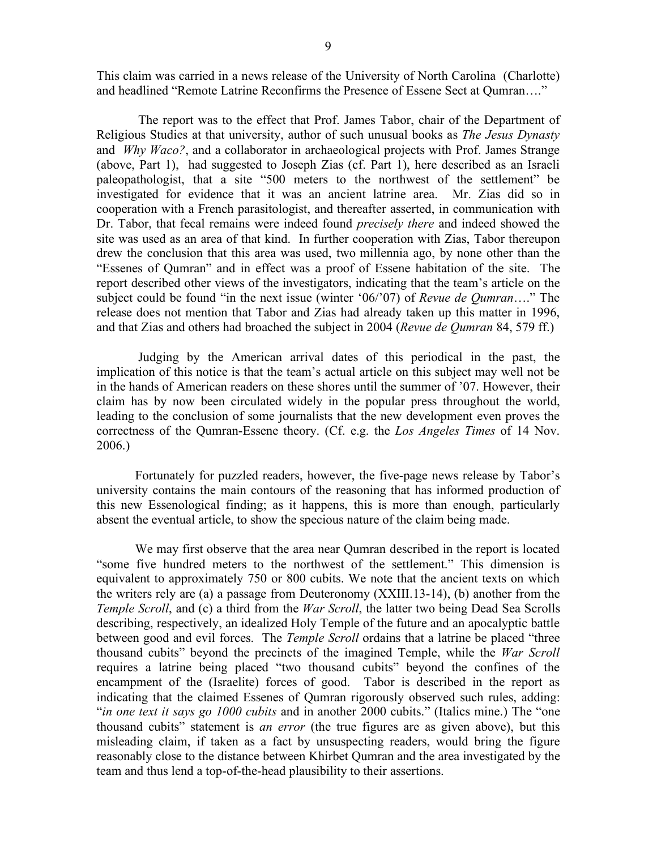This claim was carried in a news release of the University of North Carolina (Charlotte) and headlined "Remote Latrine Reconfirms the Presence of Essene Sect at Qumran…."

The report was to the effect that Prof. James Tabor, chair of the Department of Religious Studies at that university, author of such unusual books as *The Jesus Dynasty* and *Why Waco?*, and a collaborator in archaeological projects with Prof. James Strange (above, Part 1), had suggested to Joseph Zias (cf. Part 1), here described as an Israeli paleopathologist, that a site "500 meters to the northwest of the settlement" be investigated for evidence that it was an ancient latrine area. Mr. Zias did so in cooperation with a French parasitologist, and thereafter asserted, in communication with Dr. Tabor, that fecal remains were indeed found *precisely there* and indeed showed the site was used as an area of that kind. In further cooperation with Zias, Tabor thereupon drew the conclusion that this area was used, two millennia ago, by none other than the "Essenes of Qumran" and in effect was a proof of Essene habitation of the site. The report described other views of the investigators, indicating that the team's article on the subject could be found "in the next issue (winter '06/'07) of *Revue de Qumran*…." The release does not mention that Tabor and Zias had already taken up this matter in 1996, and that Zias and others had broached the subject in 2004 (*Revue de Qumran* 84, 579 ff.)

Judging by the American arrival dates of this periodical in the past, the implication of this notice is that the team's actual article on this subject may well not be in the hands of American readers on these shores until the summer of '07. However, their claim has by now been circulated widely in the popular press throughout the world, leading to the conclusion of some journalists that the new development even proves the correctness of the Qumran-Essene theory. (Cf. e.g. the *Los Angeles Times* of 14 Nov. 2006.)

Fortunately for puzzled readers, however, the five-page news release by Tabor's university contains the main contours of the reasoning that has informed production of this new Essenological finding; as it happens, this is more than enough, particularly absent the eventual article, to show the specious nature of the claim being made.

We may first observe that the area near Qumran described in the report is located "some five hundred meters to the northwest of the settlement." This dimension is equivalent to approximately 750 or 800 cubits. We note that the ancient texts on which the writers rely are (a) a passage from Deuteronomy (XXIII.13-14), (b) another from the *Temple Scroll*, and (c) a third from the *War Scroll*, the latter two being Dead Sea Scrolls describing, respectively, an idealized Holy Temple of the future and an apocalyptic battle between good and evil forces. The *Temple Scroll* ordains that a latrine be placed "three thousand cubits" beyond the precincts of the imagined Temple, while the *War Scroll* requires a latrine being placed "two thousand cubits" beyond the confines of the encampment of the (Israelite) forces of good. Tabor is described in the report as indicating that the claimed Essenes of Qumran rigorously observed such rules, adding: "*in one text it says go 1000 cubits* and in another 2000 cubits." (Italics mine.) The "one thousand cubits" statement is *an error* (the true figures are as given above), but this misleading claim, if taken as a fact by unsuspecting readers, would bring the figure reasonably close to the distance between Khirbet Qumran and the area investigated by the team and thus lend a top-of-the-head plausibility to their assertions.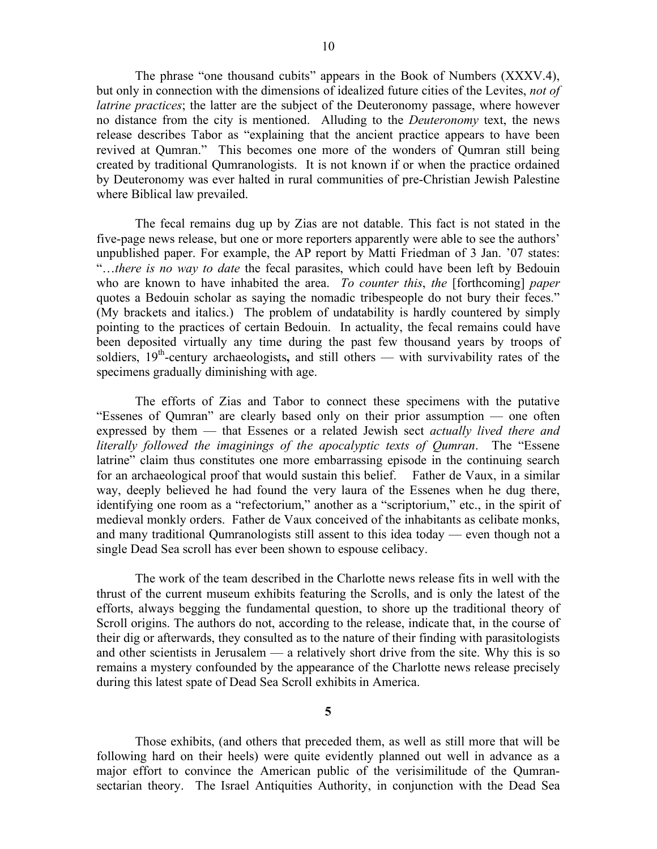The phrase "one thousand cubits" appears in the Book of Numbers (XXXV.4), but only in connection with the dimensions of idealized future cities of the Levites, *not of latrine practices*; the latter are the subject of the Deuteronomy passage, where however no distance from the city is mentioned. Alluding to the *Deuteronomy* text, the news release describes Tabor as "explaining that the ancient practice appears to have been revived at Qumran." This becomes one more of the wonders of Qumran still being created by traditional Qumranologists. It is not known if or when the practice ordained by Deuteronomy was ever halted in rural communities of pre-Christian Jewish Palestine where Biblical law prevailed.

The fecal remains dug up by Zias are not datable. This fact is not stated in the five-page news release, but one or more reporters apparently were able to see the authors' unpublished paper. For example, the AP report by Matti Friedman of 3 Jan. '07 states: "…*there is no way to date* the fecal parasites, which could have been left by Bedouin who are known to have inhabited the area. *To counter this*, *the* [forthcoming] *paper* quotes a Bedouin scholar as saying the nomadic tribespeople do not bury their feces." (My brackets and italics.) The problem of undatability is hardly countered by simply pointing to the practices of certain Bedouin. In actuality, the fecal remains could have been deposited virtually any time during the past few thousand years by troops of soldiers, 19<sup>th</sup>-century archaeologists, and still others — with survivability rates of the specimens gradually diminishing with age.

The efforts of Zias and Tabor to connect these specimens with the putative "Essenes of Qumran" are clearly based only on their prior assumption — one often expressed by them — that Essenes or a related Jewish sect *actually lived there and literally followed the imaginings of the apocalyptic texts of Qumran*. The "Essene latrine" claim thus constitutes one more embarrassing episode in the continuing search for an archaeological proof that would sustain this belief. Father de Vaux, in a similar way, deeply believed he had found the very laura of the Essenes when he dug there, identifying one room as a "refectorium," another as a "scriptorium," etc., in the spirit of medieval monkly orders. Father de Vaux conceived of the inhabitants as celibate monks, and many traditional Qumranologists still assent to this idea today — even though not a single Dead Sea scroll has ever been shown to espouse celibacy.

The work of the team described in the Charlotte news release fits in well with the thrust of the current museum exhibits featuring the Scrolls, and is only the latest of the efforts, always begging the fundamental question, to shore up the traditional theory of Scroll origins. The authors do not, according to the release, indicate that, in the course of their dig or afterwards, they consulted as to the nature of their finding with parasitologists and other scientists in Jerusalem — a relatively short drive from the site. Why this is so remains a mystery confounded by the appearance of the Charlotte news release precisely during this latest spate of Dead Sea Scroll exhibits in America.

**5**

Those exhibits, (and others that preceded them, as well as still more that will be following hard on their heels) were quite evidently planned out well in advance as a major effort to convince the American public of the verisimilitude of the Qumransectarian theory. The Israel Antiquities Authority, in conjunction with the Dead Sea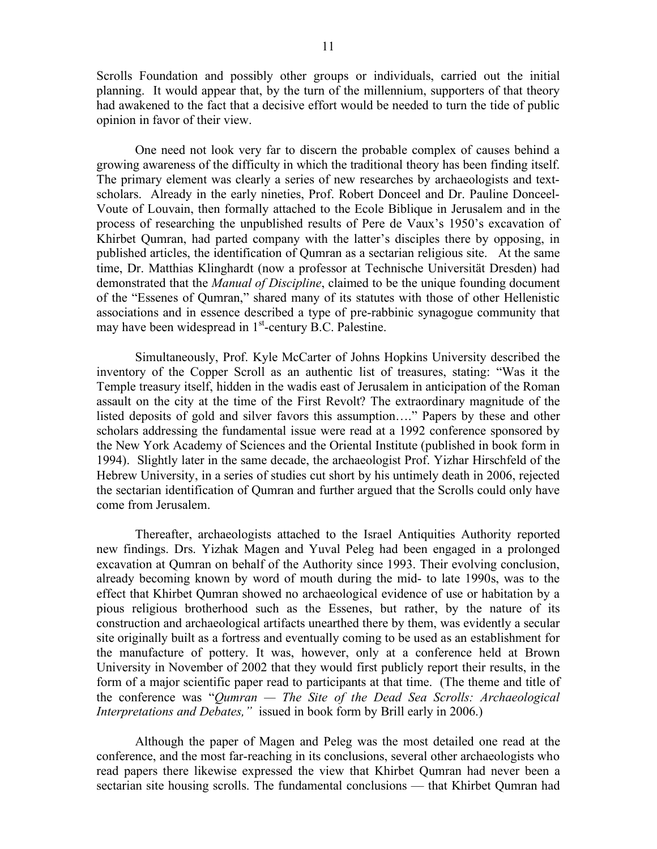Scrolls Foundation and possibly other groups or individuals, carried out the initial planning. It would appear that, by the turn of the millennium, supporters of that theory had awakened to the fact that a decisive effort would be needed to turn the tide of public opinion in favor of their view.

One need not look very far to discern the probable complex of causes behind a growing awareness of the difficulty in which the traditional theory has been finding itself. The primary element was clearly a series of new researches by archaeologists and textscholars. Already in the early nineties, Prof. Robert Donceel and Dr. Pauline Donceel-Voute of Louvain, then formally attached to the Ecole Biblique in Jerusalem and in the process of researching the unpublished results of Pere de Vaux's 1950's excavation of Khirbet Qumran, had parted company with the latter's disciples there by opposing, in published articles, the identification of Qumran as a sectarian religious site. At the same time, Dr. Matthias Klinghardt (now a professor at Technische Universität Dresden) had demonstrated that the *Manual of Discipline*, claimed to be the unique founding document of the "Essenes of Qumran," shared many of its statutes with those of other Hellenistic associations and in essence described a type of pre-rabbinic synagogue community that may have been widespread in 1<sup>st</sup>-century B.C. Palestine.

Simultaneously, Prof. Kyle McCarter of Johns Hopkins University described the inventory of the Copper Scroll as an authentic list of treasures, stating: "Was it the Temple treasury itself, hidden in the wadis east of Jerusalem in anticipation of the Roman assault on the city at the time of the First Revolt? The extraordinary magnitude of the listed deposits of gold and silver favors this assumption…." Papers by these and other scholars addressing the fundamental issue were read at a 1992 conference sponsored by the New York Academy of Sciences and the Oriental Institute (published in book form in 1994). Slightly later in the same decade, the archaeologist Prof. Yizhar Hirschfeld of the Hebrew University, in a series of studies cut short by his untimely death in 2006, rejected the sectarian identification of Qumran and further argued that the Scrolls could only have come from Jerusalem.

Thereafter, archaeologists attached to the Israel Antiquities Authority reported new findings. Drs. Yizhak Magen and Yuval Peleg had been engaged in a prolonged excavation at Qumran on behalf of the Authority since 1993. Their evolving conclusion, already becoming known by word of mouth during the mid- to late 1990s, was to the effect that Khirbet Qumran showed no archaeological evidence of use or habitation by a pious religious brotherhood such as the Essenes, but rather, by the nature of its construction and archaeological artifacts unearthed there by them, was evidently a secular site originally built as a fortress and eventually coming to be used as an establishment for the manufacture of pottery. It was, however, only at a conference held at Brown University in November of 2002 that they would first publicly report their results, in the form of a major scientific paper read to participants at that time. (The theme and title of the conference was "*Qumran — The Site of the Dead Sea Scrolls: Archaeological Interpretations and Debates,"* issued in book form by Brill early in 2006.)

Although the paper of Magen and Peleg was the most detailed one read at the conference, and the most far-reaching in its conclusions, several other archaeologists who read papers there likewise expressed the view that Khirbet Qumran had never been a sectarian site housing scrolls. The fundamental conclusions — that Khirbet Qumran had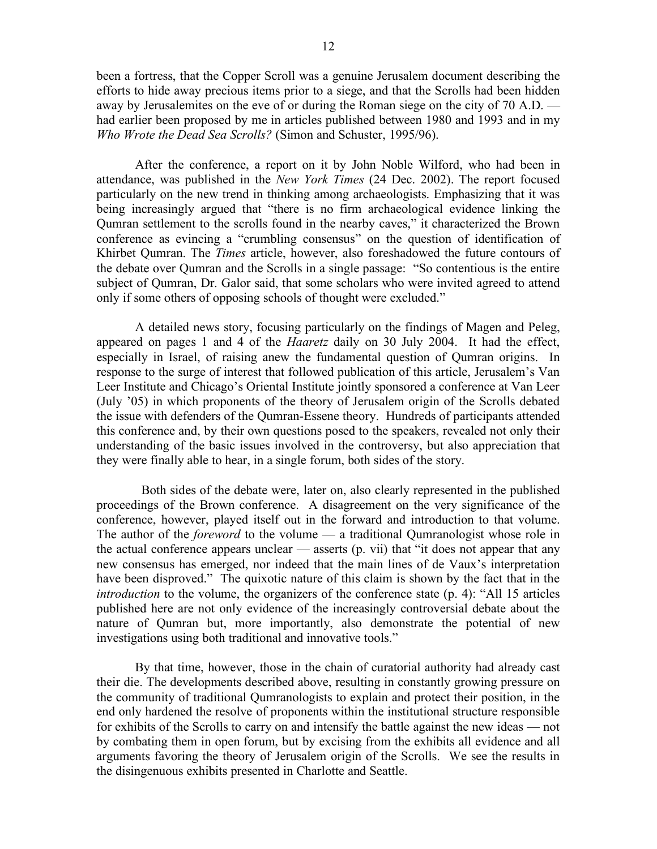been a fortress, that the Copper Scroll was a genuine Jerusalem document describing the efforts to hide away precious items prior to a siege, and that the Scrolls had been hidden away by Jerusalemites on the eve of or during the Roman siege on the city of 70 A.D. had earlier been proposed by me in articles published between 1980 and 1993 and in my *Who Wrote the Dead Sea Scrolls?* (Simon and Schuster, 1995/96).

After the conference, a report on it by John Noble Wilford, who had been in attendance, was published in the *New York Times* (24 Dec. 2002). The report focused particularly on the new trend in thinking among archaeologists. Emphasizing that it was being increasingly argued that "there is no firm archaeological evidence linking the Qumran settlement to the scrolls found in the nearby caves," it characterized the Brown conference as evincing a "crumbling consensus" on the question of identification of Khirbet Qumran. The *Times* article, however, also foreshadowed the future contours of the debate over Qumran and the Scrolls in a single passage: "So contentious is the entire subject of Qumran, Dr. Galor said, that some scholars who were invited agreed to attend only if some others of opposing schools of thought were excluded."

A detailed news story, focusing particularly on the findings of Magen and Peleg, appeared on pages 1 and 4 of the *Haaretz* daily on 30 July 2004. It had the effect, especially in Israel, of raising anew the fundamental question of Qumran origins. In response to the surge of interest that followed publication of this article, Jerusalem's Van Leer Institute and Chicago's Oriental Institute jointly sponsored a conference at Van Leer (July '05) in which proponents of the theory of Jerusalem origin of the Scrolls debated the issue with defenders of the Qumran-Essene theory. Hundreds of participants attended this conference and, by their own questions posed to the speakers, revealed not only their understanding of the basic issues involved in the controversy, but also appreciation that they were finally able to hear, in a single forum, both sides of the story.

Both sides of the debate were, later on, also clearly represented in the published proceedings of the Brown conference. A disagreement on the very significance of the conference, however, played itself out in the forward and introduction to that volume. The author of the *foreword* to the volume — a traditional Qumranologist whose role in the actual conference appears unclear — asserts (p. vii) that "it does not appear that any new consensus has emerged, nor indeed that the main lines of de Vaux's interpretation have been disproved." The quixotic nature of this claim is shown by the fact that in the *introduction* to the volume, the organizers of the conference state (p. 4): "All 15 articles published here are not only evidence of the increasingly controversial debate about the nature of Qumran but, more importantly, also demonstrate the potential of new investigations using both traditional and innovative tools."

By that time, however, those in the chain of curatorial authority had already cast their die. The developments described above, resulting in constantly growing pressure on the community of traditional Qumranologists to explain and protect their position, in the end only hardened the resolve of proponents within the institutional structure responsible for exhibits of the Scrolls to carry on and intensify the battle against the new ideas — not by combating them in open forum, but by excising from the exhibits all evidence and all arguments favoring the theory of Jerusalem origin of the Scrolls. We see the results in the disingenuous exhibits presented in Charlotte and Seattle.